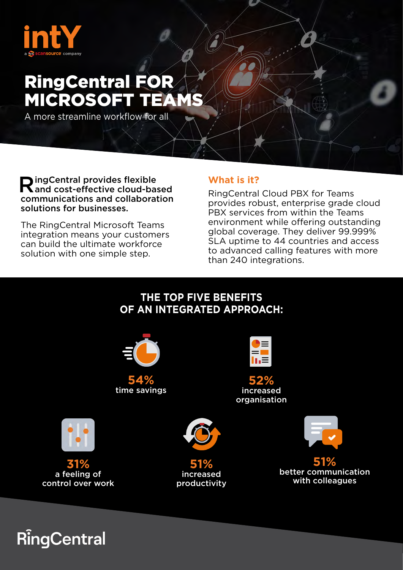

# RingCentral FOR MICROSOFT TEAMS

A more streamline workflow for all

 $\bigcap$  ingCentral provides flexible and cost-effective cloud-based communications and collaboration solutions for businesses.

The RingCentral Microsoft Teams integration means your customers can build the ultimate workforce solution with one simple step.

#### **What is it?**

RingCentral Cloud PBX for Teams provides robust, enterprise grade cloud PBX services from within the Teams environment while offering outstanding global coverage. They deliver 99.999% SLA uptime to 44 countries and access to advanced calling features with more than 240 integrations.

### **THE TOP FIVE BENEFITS OF AN INTEGRATED APPROACH:**



**RingCentral**